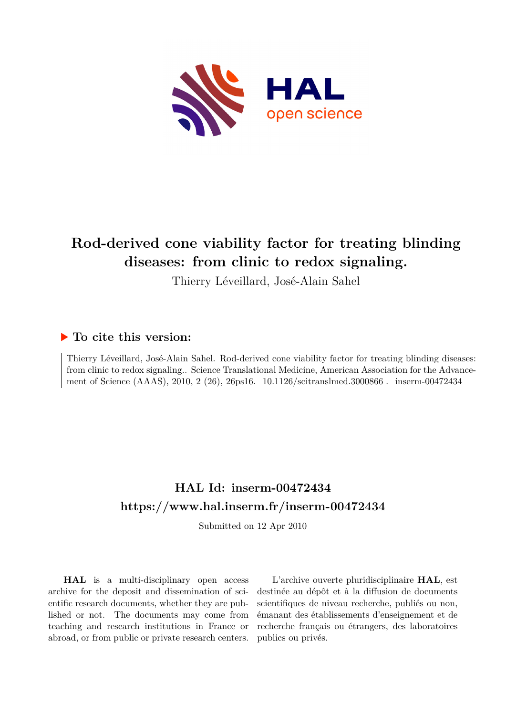

# **Rod-derived cone viability factor for treating blinding diseases: from clinic to redox signaling.**

Thierry Léveillard, José-Alain Sahel

## **To cite this version:**

Thierry Léveillard, José-Alain Sahel. Rod-derived cone viability factor for treating blinding diseases: from clinic to redox signaling.. Science Translational Medicine, American Association for the Advancement of Science (AAAS), 2010, 2 (26), 26ps16. 10.1126/scitranslmed.3000866. inserm-00472434

## **HAL Id: inserm-00472434 <https://www.hal.inserm.fr/inserm-00472434>**

Submitted on 12 Apr 2010

**HAL** is a multi-disciplinary open access archive for the deposit and dissemination of scientific research documents, whether they are published or not. The documents may come from teaching and research institutions in France or abroad, or from public or private research centers.

L'archive ouverte pluridisciplinaire **HAL**, est destinée au dépôt et à la diffusion de documents scientifiques de niveau recherche, publiés ou non, émanant des établissements d'enseignement et de recherche français ou étrangers, des laboratoires publics ou privés.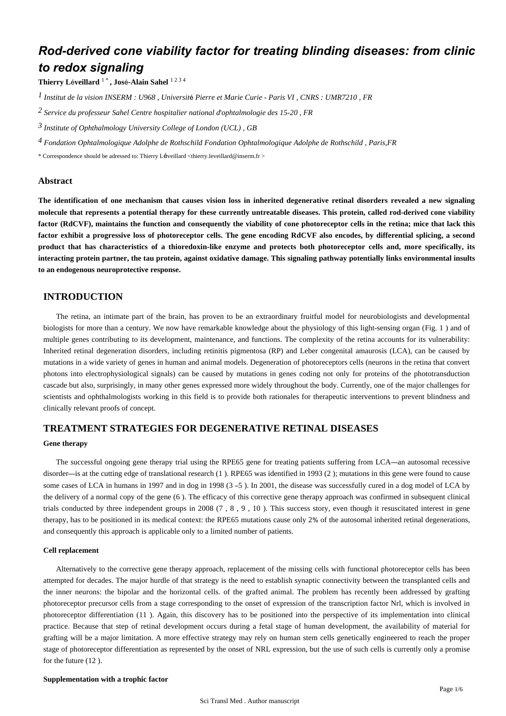## *Rod-derived cone viability factor for treating blinding diseases: from clinic to redox signaling*

**Thierry L**é**veillard** 1 \* **, Jos**é**-Alain Sahel** 1 2 3 4

*Institut de la vision 1 INSERM : U968 , Universit*é *Pierre et Marie Curie - Paris VI , CNRS : UMR7210 , FR*

*Service du professeur Sahel 2 Centre hospitalier national d*'*ophtalmologie des 15-20 , FR*

*Institute of Ophthalmology 3 University College of London (UCL) , GB*

*Fondation Ophtalmologique Adolphe de Rothschild 4 Fondation Ophtalmologique Adolphe de Rothschild , Paris,FR*

\* Correspondence should be adressed to: Thierry Léveillard <thierry.leveillard@inserm.fr >

#### **Abstract**

**The identification of one mechanism that causes vision loss in inherited degenerative retinal disorders revealed a new signaling molecule that represents a potential therapy for these currently untreatable diseases. This protein, called rod-derived cone viability factor (RdCVF), maintains the function and consequently the viability of cone photoreceptor cells in the retina; mice that lack this factor exhibit a progressive loss of photoreceptor cells. The gene encoding RdCVF also encodes, by differential splicing, a second product that has characteristics of a thioredoxin-like enzyme and protects both photoreceptor cells and, more specifically, its interacting protein partner, the tau protein, against oxidative damage. This signaling pathway potentially links environmental insults to an endogenous neuroprotective response.**

## **INTRODUCTION**

The retina, an intimate part of the brain, has proven to be an extraordinary fruitful model for neurobiologists and developmental biologists for more than a century. We now have remarkable knowledge about the physiology of this light-sensing organ (Fig. 1) and of multiple genes contributing to its development, maintenance, and functions. The complexity of the retina accounts for its vulnerability: Inherited retinal degeneration disorders, including retinitis pigmentosa (RP) and Leber congenital amaurosis (LCA), can be caused by mutations in a wide variety of genes in human and animal models. Degeneration of photoreceptors cells (neurons in the retina that convert photons into electrophysiological signals) can be caused by mutations in genes coding not only for proteins of the phototransduction cascade but also, surprisingly, in many other genes expressed more widely throughout the body. Currently, one of the major challenges for scientists and ophthalmologists working in this field is to provide both rationales for therapeutic interventions to prevent blindness and clinically relevant proofs of concept.

## **TREATMENT STRATEGIES FOR DEGENERATIVE RETINAL DISEASES**

#### **Gene therapy**

The successful ongoing gene therapy trial using the RPE65 gene for treating patients suffering from LCA—an autosomal recessive disorder—is at the cutting edge of translational research (1 ). RPE65 was identified in 1993 (2 ); mutations in this gene were found to cause some cases of LCA in humans in 1997 and in dog in 1998 (3 – 5). In 2001, the disease was successfully cured in a dog model of LCA by the delivery of a normal copy of the gene (6 ). The efficacy of this corrective gene therapy approach was confirmed in subsequent clinical trials conducted by three independent groups in 2008  $(7, 8, 9, 10)$ . This success story, even though it resuscitated interest in gene therapy, has to be positioned in its medical context: the RPE65 mutations cause only 2% of the autosomal inherited retinal degenerations, and consequently this approach is applicable only to a limited number of patients.

#### **Cell replacement**

Alternatively to the corrective gene therapy approach, replacement of the missing cells with functional photoreceptor cells has been attempted for decades. The major hurdle of that strategy is the need to establish synaptic connectivity between the transplanted cells and the inner neurons: the bipolar and the horizontal cells. of the grafted animal. The problem has recently been addressed by grafting photoreceptor precursor cells from a stage corresponding to the onset of expression of the transcription factor Nrl, which is involved in photoreceptor differentiation (11 ). Again, this discovery has to be positioned into the perspective of its implementation into clinical practice. Because that step of retinal development occurs during a fetal stage of human development, the availability of material for grafting will be a major limitation. A more effective strategy may rely on human stem cells genetically engineered to reach the proper stage of photoreceptor differentiation as represented by the onset of NRL expression, but the use of such cells is currently only a promise for the future (12 ).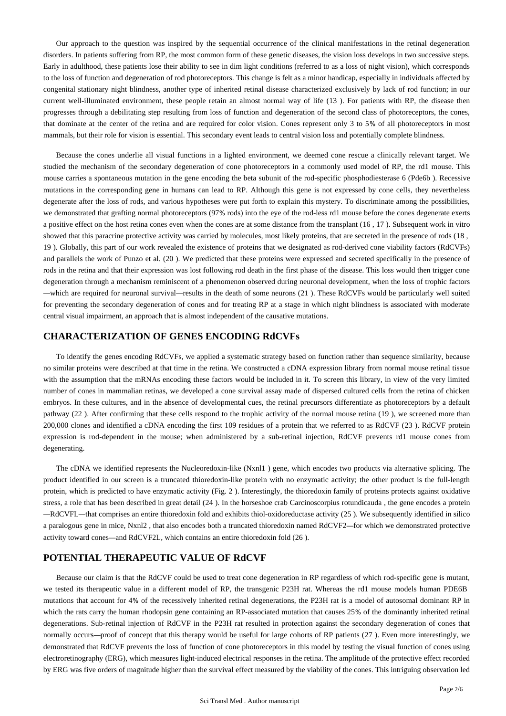Our approach to the question was inspired by the sequential occurrence of the clinical manifestations in the retinal degeneration disorders. In patients suffering from RP, the most common form of these genetic diseases, the vision loss develops in two successive steps. Early in adulthood, these patients lose their ability to see in dim light conditions (referred to as a loss of night vision), which corresponds to the loss of function and degeneration of rod photoreceptors. This change is felt as a minor handicap, especially in individuals affected by congenital stationary night blindness, another type of inherited retinal disease characterized exclusively by lack of rod function; in our current well-illuminated environment, these people retain an almost normal way of life (13 ). For patients with RP, the disease then progresses through a debilitating step resulting from loss of function and degeneration of the second class of photoreceptors, the cones, that dominate at the center of the retina and are required for color vision. Cones represent only 3 to 5% of all photoreceptors in most mammals, but their role for vision is essential. This secondary event leads to central vision loss and potentially complete blindness.

Because the cones underlie all visual functions in a lighted environment, we deemed cone rescue a clinically relevant target. We studied the mechanism of the secondary degeneration of cone photoreceptors in a commonly used model of RP, the rd1 mouse. This mouse carries a spontaneous mutation in the gene encoding the beta subunit of the rod-specific phosphodiesterase 6 (Pde6b ). Recessive mutations in the corresponding gene in humans can lead to RP. Although this gene is not expressed by cone cells, they nevertheless degenerate after the loss of rods, and various hypotheses were put forth to explain this mystery. To discriminate among the possibilities, we demonstrated that grafting normal photoreceptors (97% rods) into the eye of the rod-less rd1 mouse before the cones degenerate exerts a positive effect on the host retina cones even when the cones are at some distance from the transplant (16 , 17 ). Subsequent work in vitro showed that this paracrine protective activity was carried by molecules, most likely proteins, that are secreted in the presence of rods (18 , 19 ). Globally, this part of our work revealed the existence of proteins that we designated as rod-derived cone viability factors (RdCVFs) and parallels the work of Punzo et al. (20 ). We predicted that these proteins were expressed and secreted specifically in the presence of rods in the retina and that their expression was lost following rod death in the first phase of the disease. This loss would then trigger cone degeneration through a mechanism reminiscent of a phenomenon observed during neuronal development, when the loss of trophic factors —which are required for neuronal survival—results in the death of some neurons (21 ). These RdCVFs would be particularly well suited for preventing the secondary degeneration of cones and for treating RP at a stage in which night blindness is associated with moderate central visual impairment, an approach that is almost independent of the causative mutations.

#### **CHARACTERIZATION OF GENES ENCODING RdCVFs**

To identify the genes encoding RdCVFs, we applied a systematic strategy based on function rather than sequence similarity, because no similar proteins were described at that time in the retina. We constructed a cDNA expression library from normal mouse retinal tissue with the assumption that the mRNAs encoding these factors would be included in it. To screen this library, in view of the very limited number of cones in mammalian retinas, we developed a cone survival assay made of dispersed cultured cells from the retina of chicken embryos. In these cultures, and in the absence of developmental cues, the retinal precursors differentiate as photoreceptors by a default pathway (22 ). After confirming that these cells respond to the trophic activity of the normal mouse retina (19 ), we screened more than 200,000 clones and identified a cDNA encoding the first 109 residues of a protein that we referred to as RdCVF (23 ). RdCVF protein expression is rod-dependent in the mouse; when administered by a sub-retinal injection, RdCVF prevents rd1 mouse cones from degenerating.

The cDNA we identified represents the Nucleoredoxin-like (Nxnl1 ) gene, which encodes two products via alternative splicing. The product identified in our screen is a truncated thioredoxin-like protein with no enzymatic activity; the other product is the full-length protein, which is predicted to have enzymatic activity (Fig. 2 ). Interestingly, the thioredoxin family of proteins protects against oxidative stress, a role that has been described in great detail (24 ). In the horseshoe crab Carcinoscorpius rotundicauda , the gene encodes a protein —RdCVFL—that comprises an entire thioredoxin fold and exhibits thiol-oxidoreductase activity (25 ). We subsequently identified in silico a paralogous gene in mice, Nxnl2 , that also encodes both a truncated thioredoxin named RdCVF2—for which we demonstrated protective activity toward cones—and RdCVF2L, which contains an entire thioredoxin fold (26 ).

## **POTENTIAL THERAPEUTIC VALUE OF RdCVF**

Because our claim is that the RdCVF could be used to treat cone degeneration in RP regardless of which rod-specific gene is mutant, we tested its therapeutic value in a different model of RP, the transgenic P23H rat. Whereas the rd1 mouse models human PDE6B mutations that account for 4% of the recessively inherited retinal degenerations, the P23H rat is a model of autosomal dominant RP in which the rats carry the human rhodopsin gene containing an RP-associated mutation that causes 25% of the dominantly inherited retinal degenerations. Sub-retinal injection of RdCVF in the P23H rat resulted in protection against the secondary degeneration of cones that normally occurs—proof of concept that this therapy would be useful for large cohorts of RP patients (27). Even more interestingly, we demonstrated that RdCVF prevents the loss of function of cone photoreceptors in this model by testing the visual function of cones using electroretinography (ERG), which measures light-induced electrical responses in the retina. The amplitude of the protective effect recorded by ERG was five orders of magnitude higher than the survival effect measured by the viability of the cones. This intriguing observation led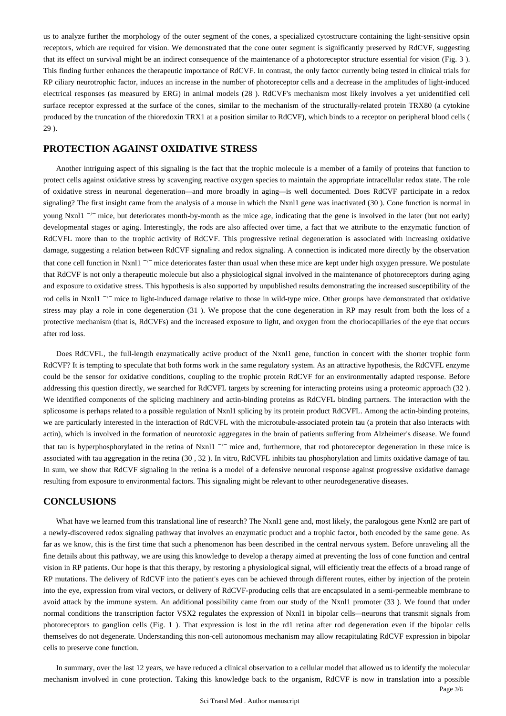us to analyze further the morphology of the outer segment of the cones, a specialized cytostructure containing the light-sensitive opsin receptors, which are required for vision. We demonstrated that the cone outer segment is significantly preserved by RdCVF, suggesting that its effect on survival might be an indirect consequence of the maintenance of a photoreceptor structure essential for vision (Fig. 3 ). This finding further enhances the therapeutic importance of RdCVF. In contrast, the only factor currently being tested in clinical trials for RP ciliary neurotrophic factor, induces an increase in the number of photoreceptor cells and a decrease in the amplitudes of light-induced electrical responses (as measured by ERG) in animal models (28 ). RdCVF's mechanism most likely involves a yet unidentified cell surface receptor expressed at the surface of the cones, similar to the mechanism of the structurally-related protein TRX80 (a cytokine produced by the truncation of the thioredoxin TRX1 at a position similar to RdCVF), which binds to a receptor on peripheral blood cells ( 29 ).

## **PROTECTION AGAINST OXIDATIVE STRESS**

Another intriguing aspect of this signaling is the fact that the trophic molecule is a member of a family of proteins that function to protect cells against oxidative stress by scavenging reactive oxygen species to maintain the appropriate intracellular redox state. The role of oxidative stress in neuronal degeneration—and more broadly in aging—is well documented. Does RdCVF participate in a redox signaling? The first insight came from the analysis of a mouse in which the Nxnl1 gene was inactivated (30 ). Cone function is normal in young Nxnl1 <sup>-/-</sup> mice, but deteriorates month-by-month as the mice age, indicating that the gene is involved in the later (but not early) developmental stages or aging. Interestingly, the rods are also affected over time, a fact that we attribute to the enzymatic function of RdCVFL more than to the trophic activity of RdCVF. This progressive retinal degeneration is associated with increasing oxidative damage, suggesting a relation between RdCVF signaling and redox signaling. A connection is indicated more directly by the observation that cone cell function in Nxnl1  $^{-/-}$  mice deteriorates faster than usual when these mice are kept under high oxygen pressure. We postulate that RdCVF is not only a therapeutic molecule but also a physiological signal involved in the maintenance of photoreceptors during aging and exposure to oxidative stress. This hypothesis is also supported by unpublished results demonstrating the increased susceptibility of the rod cells in Nxnl1 <sup>-/-</sup> mice to light-induced damage relative to those in wild-type mice. Other groups have demonstrated that oxidative stress may play a role in cone degeneration (31 ). We propose that the cone degeneration in RP may result from both the loss of a protective mechanism (that is, RdCVFs) and the increased exposure to light, and oxygen from the choriocapillaries of the eye that occurs after rod loss.

Does RdCVFL, the full-length enzymatically active product of the Nxnl1 gene, function in concert with the shorter trophic form RdCVF? It is tempting to speculate that both forms work in the same regulatory system. As an attractive hypothesis, the RdCVFL enzyme could be the sensor for oxidative conditions, coupling to the trophic protein RdCVF for an environmentally adapted response. Before addressing this question directly, we searched for RdCVFL targets by screening for interacting proteins using a proteomic approach (32 ). We identified components of the splicing machinery and actin-binding proteins as RdCVFL binding partners. The interaction with the splicosome is perhaps related to a possible regulation of Nxnl1 splicing by its protein product RdCVFL. Among the actin-binding proteins, we are particularly interested in the interaction of RdCVFL with the microtubule-associated protein tau (a protein that also interacts with actin), which is involved in the formation of neurotoxic aggregates in the brain of patients suffering from Alzheimer's disease. We found that tau is hyperphosphorylated in the retina of Nxnl1  $^{-/-}$  mice and, furthermore, that rod photoreceptor degeneration in these mice is associated with tau aggregation in the retina (30 , 32 ). In vitro, RdCVFL inhibits tau phosphorylation and limits oxidative damage of tau. In sum, we show that RdCVF signaling in the retina is a model of a defensive neuronal response against progressive oxidative damage resulting from exposure to environmental factors. This signaling might be relevant to other neurodegenerative diseases.

## **CONCLUSIONS**

What have we learned from this translational line of research? The Nxnl1 gene and, most likely, the paralogous gene Nxnl2 are part of a newly-discovered redox signaling pathway that involves an enzymatic product and a trophic factor, both encoded by the same gene. As far as we know, this is the first time that such a phenomenon has been described in the central nervous system. Before unraveling all the fine details about this pathway, we are using this knowledge to develop a therapy aimed at preventing the loss of cone function and central vision in RP patients. Our hope is that this therapy, by restoring a physiological signal, will efficiently treat the effects of a broad range of RP mutations. The delivery of RdCVF into the patient's eyes can be achieved through different routes, either by injection of the protein into the eye, expression from viral vectors, or delivery of RdCVF-producing cells that are encapsulated in a semi-permeable membrane to avoid attack by the immune system. An additional possibility came from our study of the Nxnl1 promoter (33 ). We found that under normal conditions the transcription factor VSX2 regulates the expression of Nxnl1 in bipolar cells—neurons that transmit signals from photoreceptors to ganglion cells (Fig. 1 ). That expression is lost in the rd1 retina after rod degeneration even if the bipolar cells themselves do not degenerate. Understanding this non-cell autonomous mechanism may allow recapitulating RdCVF expression in bipolar cells to preserve cone function.

In summary, over the last 12 years, we have reduced a clinical observation to a cellular model that allowed us to identify the molecular mechanism involved in cone protection. Taking this knowledge back to the organism, RdCVF is now in translation into a possible

Page 3/6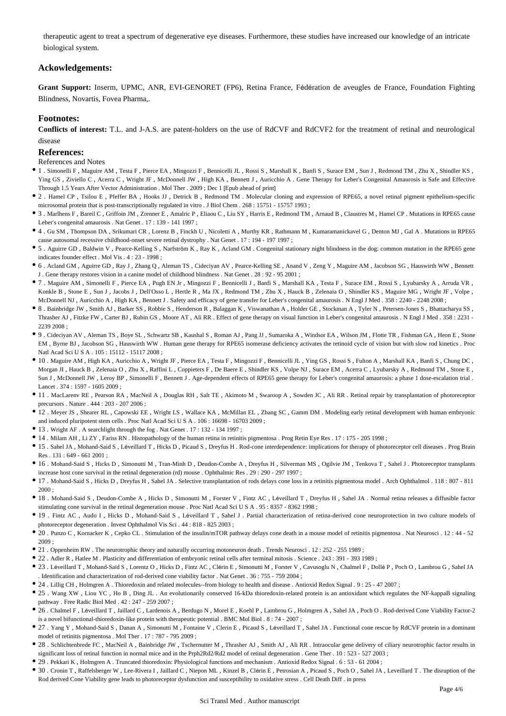therapeutic agent to treat a spectrum of degenerative eye diseases. Furthermore, these studies have increased our knowledge of an intricate biological system.

### **Ackowledgements:**

**Grant Support:** Inserm, UPMC, ANR, EVI-GENORET (FP6), Retina France, Fédération de aveugles de France, Foundation Fighting Blindness, Novartis, Fovea Pharma,.

#### **Footnotes:**

**Conflicts of interest:** T.L. and J-A.S. are patent-holders on the use of RdCVF and RdCVF2 for the treatment of retinal and neurological disease

#### **References:**

#### References and Notes

- 1 . Simonelli F , Maguire AM , Testa F , Pierce EA , Mingozzi F , Bennicelli JL , Rossi S , Marshall K , Banfi S , Surace EM , Sun J , Redmond TM , Zhu X , Shindler KS , Ying GS , Ziviello C , Acerra C , Wright JF , McDonnell JW , High KA , Bennett J , Auricchio A . Gene Therapy for Leber's Congenital Amaurosis is Safe and Effective Through 1.5 Years After Vector Administration . Mol Ther . 2009 ; Dec 1 [Epub ahead of print]
- 2 . Hamel CP , Tsilou E , Pfeffer BA , Hooks JJ , Detrick B , Redmond TM . Molecular cloning and expression of RPE65, a novel retinal pigment epithelium-specific microsomal protein that is post-transcriptionally regulated in vitro . J Biol Chem . 268 : 15751 - 15757 1993 ;
- 3 . Marlhens F , Bareil C , Griffoin JM , Zrenner E , Amalric P , Eliaou C , Liu SY , Harris E , Redmond TM , Arnaud B , Claustres M , Hamel CP . Mutations in RPE65 cause Leber's congenital amaurosis . Nat Genet  $17 \cdot 139 = 1411997$
- 4 . Gu SM , Thompson DA , Srikumari CR , Lorenz B , Finckh U , Nicoletti A , Murthy KR , Rathmann M , Kumaramanickavel G , Denton MJ , Gal A . Mutations in RPE65 cause autosomal recessive childhood-onset severe retinal dystrophy . Nat Genet . 17 : 194 - 197 1997 ;
- 5 . Aguirre GD , Baldwin V , Pearce-Kelling S , Narfström K , Ray K , Acland GM . Congenital stationary night blindness in the dog: common mutation in the RPE65 gene indicates founder effect . Mol Vis . 4 : 23 - 1998 ;
- 6 . Acland GM , Aguirre GD , Ray J , Zhang Q , Aleman TS , Cideciyan AV , Pearce-Kelling SE , Anand V , Zeng Y , Maguire AM , Jacobson SG , Hauswirth WW , Bennett J . Gene therapy restores vision in a canine model of childhood blindness . Nat Genet . 28 : 92 - 95 2001 ;
- 7 . Maguire AM , Simonelli F , Pierce EA , Pugh EN Jr , Mingozzi F , Bennicelli J , Banfi S , Marshall KA , Testa F , Surace EM , Rossi S , Lyubarsky A , Arruda VR , Konkle B , Stone E , Sun J , Jacobs J , Dell'Osso L , Hertle R , Ma JX , Redmond TM , Zhu X , Hauck B , Zelenaia O , Shindler KS , Maguire MG , Wright JF , Volpe , McDonnell NJ, Auricchio A, High KA, Bennett J. Safety and efficacy of gene transfer for Leber's congenital amaurosis . N Engl J Med . 358 : 2240 - 2248 2008 ;
- 8 . Bainbridge JW , Smith AJ , Barker SS , Robbie S , Henderson R , Balaggan K , Viswanathan A , Holder GE , Stockman A , Tyler N , Petersen-Jones S , Bhattacharya SS , Thrasher AJ , Fitzke FW , Carter BJ , Rubin GS , Moore AT , Ali RR . Effect of gene therapy on visual function in Leber's congenital amaurosis . N Engl J Med . 358 : 2231 - 2239 2008 ;
- 9 . Cideciyan AV , Aleman TS , Boye SL , Schwartz SB , Kaushal S , Roman AJ , Pang JJ , Sumaroka A , Windsor EA , Wilson JM , Flotte TR , Fishman GA , Heon E , Stone EM , Byrne BJ , Jacobson SG , Hauswirth WW . Human gene therapy for RPE65 isomerase deficiency activates the retinoid cycle of vision but with slow rod kinetics . Proc Natl Acad Sci U S A . 105 : 15112 - 15117 2008 ;
- 10 . Maguire AM , High KA , Auricchio A , Wright JF , Pierce EA , Testa F , Mingozzi F , Bennicelli JL , Ying GS , Rossi S , Fulton A , Marshall KA , Banfi S , Chung DC , Morgan JI , Hauck B , Zelenaia O , Zhu X , Raffini L , Coppieters F , De Baere E , Shindler KS , Volpe NJ , Surace EM , Acerra C , Lyubarsky A , Redmond TM , Stone E , Sun J , McDonnell JW , Leroy BP , Simonelli F , Bennett J . Age-dependent effects of RPE65 gene therapy for Leber's congenital amaurosis: a phase 1 dose-escalation trial . Lancet . 374 : 1597 - 1605 2009 ;
- 11 . MacLarenv RE , Pearson RA , MacNeil A , Douglas RH , Salt TE , Akimoto M , Swaroop A , Sowden JC , Ali RR . Retinal repair by transplantation of photoreceptor precursors . Nature . 444 : 203 - 207 2006 ;
- 12 . Meyer JS , Shearer RL , Capowski EE , Wright LS , Wallace KA , McMillan EL , Zhang SC , Gamm DM . Modeling early retinal development with human embryonic and induced pluripotent stem cells . Proc Natl Acad Sci U S A . 106 : 16698 - 16703 2009 ;
- 13 . Wright AF . A searchlight through the fog . Nat Genet . 17 : 132 134 1997 ;
- 14 . Milam AH , Li ZY , Fariss RN . Histopathology of the human retina in retinitis pigmentosa . Prog Retin Eye Res . 17 : 175 205 1998 ;
- 15 . Sahel JA , Mohand-Said S , Léveillard T , Hicks D , Picaud S , Dreyfus H . Rod-cone interdependence: implications for therapy of photoreceptor cell diseases . Prog Brain Res . 131 : 649 - 661 2001 ;
- 16 . Mohand-Said S , Hicks D , Simonutti M , Tran-Minh D , Deudon-Combe A , Dreyfus H , Silverman MS , Ogilvie JM , Tenkova T , Sahel J . Photoreceptor transplants increase host cone survival in the retinal degeneration (rd) mouse . Ophthalmic Res . 29 : 290 - 297 1997 ;
- 17 . Mohand-Said S , Hicks D , Dreyfus H , Sahel JA . Selective transplantation of rods delays cone loss in a retinitis pigmentosa model . Arch Ophthalmol . 118 : 807 811  $2000 \cdot$
- 18 . Mohand-Said S , Deudon-Combe A , Hicks D , Simonutti M , Forster V , Fintz AC , Léveillard T , Dreyfus H , Sahel JA . Normal retina releases a diffusible factor stimulating cone survival in the retinal degeneration mouse . Proc Natl Acad Sci U S A . 95 : 8357 - 8362 1998 ;
- 19 . Fintz AC , Audo I , Hicks D , Mohand-Said S , Léveillard T , Sahel J . Partial characterization of retina-derived cone neuroprotection in two culture models of photoreceptor degeneration . Invest Ophthalmol Vis Sci . 44 : 818 - 825 2003 ;
- 20 . Punzo C, Kornacker K, Cepko CL. Stimulation of the insulin/mTOR pathway delays cone death in a mouse model of retinitis pigmentosa . Nat Neurosci . 12 : 44 52 2009 ;
- 21 . Oppenheim RW . The neurotrophic theory and naturally occurring motoneuron death . Trends Neurosci . 12 : 252 255 1989 ;
- 22 . Adler R , Hatlee M . Plasticity and differentiation of embryonic retinal cells after terminal mitosis . Science . 243 : 391 393 1989 ;
- 23 . Léveillard T , Mohand-Saïd S , Lorentz O , Hicks D , Fintz AC , Clérin E , Simonutti M , Forster V , Cavusoglu N , Chalmel F , Dollé P , Poch O , Lambrou G , Sahel JA . Identification and characterization of rod-derived cone viability factor . Nat Genet . 36 : 755 - 759 2004 ;
- 24 . Lillig CH , Holmgren A . Thioredoxin and related molecules--from biology to health and disease . Antioxid Redox Signal . 9 : 25 47 2007 ;
- 25 . Wang XW , Liou YC , Ho B , Ding JL . An evolutionarily conserved 16-kDa thioredoxin-related protein is an antioxidant which regulates the NF-kappaB signaling pathway . Free Radic Biol Med . 42 : 247 - 259 2007 ;
- 26 . Chalmel F , Léveillard T , Jaillard C , Lardenois A , Berdugo N , Morel E , Koehl P , Lambrou G , Holmgren A , Sahel JA , Poch O . Rod-derived Cone Viability Factor-2 is a novel bifunctional-thioredoxin-like protein with therapeutic potential . BMC Mol Biol . 8 : 74 - 2007 ;
- 27 . Yang Y , Mohand-Said S , Danan A , Simonutti M , Fontaine V , Clerin E , Picaud S , Léveillard T , Sahel JA . Functional cone rescue by RdCVF protein in a dominant model of retinitis pigmentosa . Mol Ther . 17 : 787 - 795 2009 ;
- 28 . Schlichtenbrede FC , MacNeil A , Bainbridge JW , Tschernutter M , Thrasher AJ , Smith AJ , Ali RR . Intraocular gene delivery of ciliary neurotrophic factor results in significant loss of retinal function in normal mice and in the Prph2Rd2/Rd2 model of retinal degeneration . Gene Ther . 10 : 523 - 527 2003 ;
- 29 . Pekkari K , Holmgren A . Truncated thioredoxin: Physiological functions and mechanism . Antioxid Redox Signal . 6 : 53 61 2004 ;
- 30 . Cronin T , Raffelsberger W , Lee-Rivera I , Jaillard C , Niepon ML , Kinzel B , Clérin E , Petrosian A , Picaud S , Poch O , Sahel JA , Leveillard T . The disruption of the Rod derived Cone Viability gene leads to photoreceptor dysfunction and susceptibility to oxidative stress . Cell Death Diff . in press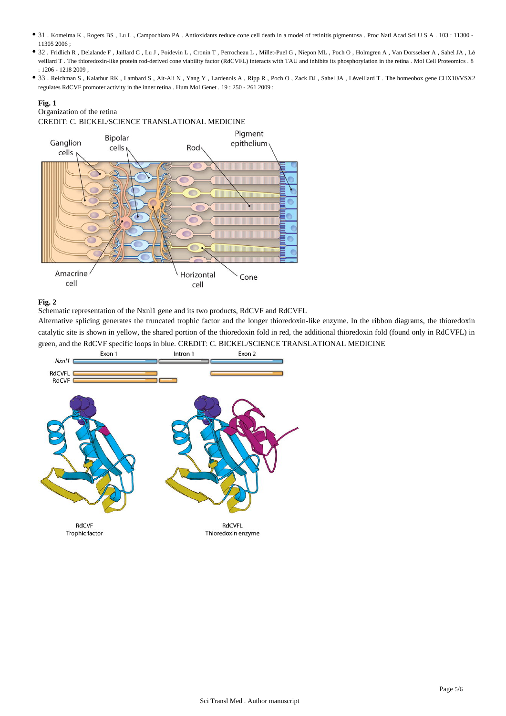- 31 . Komeima K , Rogers BS , Lu L , Campochiaro PA . Antioxidants reduce cone cell death in a model of retinitis pigmentosa . Proc Natl Acad Sci U S A . 103 : 11300 11305 2006 ;
- 32 . Fridlich R , Delalande F , Jaillard C , Lu J , Poidevin L , Cronin T , Perrocheau L , Millet-Puel G , Niepon ML , Poch O , Holmgren A , Van Dorsselaer A , Sahel JA , Lé veillard T . The thioredoxin-like protein rod-derived cone viability factor (RdCVFL) interacts with TAU and inhibits its phosphorylation in the retina . Mol Cell Proteomics . 8 : 1206 - 1218 2009 ;
- 33 . Reichman S , Kalathur RK , Lambard S , Ait-Ali N , Yang Y , Lardenois A , Ripp R , Poch O , Zack DJ , Sahel JA , Léveillard T . The homeobox gene CHX10/VSX2 regulates RdCVF promoter activity in the inner retina . Hum Mol Genet . 19 : 250 - 261 2009 ;

#### **Fig. 1**

## Organization of the retina

CREDIT: C. BICKEL/SCIENCE TRANSLATIONAL MEDICINE



#### **Fig. 2**

Schematic representation of the Nxnl1 gene and its two products, RdCVF and RdCVFL

Alternative splicing generates the truncated trophic factor and the longer thioredoxin-like enzyme. In the ribbon diagrams, the thioredoxin catalytic site is shown in yellow, the shared portion of the thioredoxin fold in red, the additional thioredoxin fold (found only in RdCVFL) in green, and the RdCVF specific loops in blue. CREDIT: C. BICKEL/SCIENCE TRANSLATIONAL MEDICINE